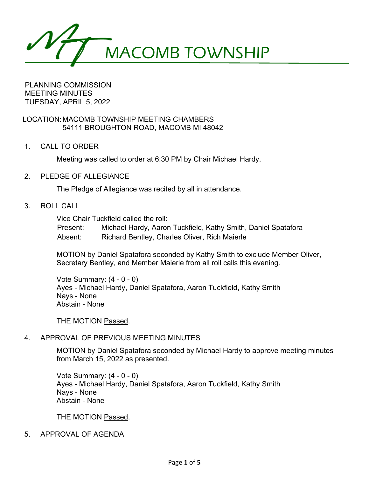MACOMB TOWNSHIP

PLANNING COMMISSION MEETING MINUTES TUESDAY, APRIL 5, 2022

LOCATION:MACOMB TOWNSHIP MEETING CHAMBERS 54111 BROUGHTON ROAD, MACOMB MI 48042

1. CALL TO ORDER

Meeting was called to order at 6:30 PM by Chair Michael Hardy.

2. PLEDGE OF ALLEGIANCE

The Pledge of Allegiance was recited by all in attendance.

3. ROLL CALL

Vice Chair Tuckfield called the roll:

Present: Michael Hardy, Aaron Tuckfield, Kathy Smith, Daniel Spatafora Absent: Richard Bentley, Charles Oliver, Rich Maierle

MOTION by Daniel Spatafora seconded by Kathy Smith to exclude Member Oliver, Secretary Bentley, and Member Maierle from all roll calls this evening.

Vote Summary: (4 - 0 - 0) Ayes - Michael Hardy, Daniel Spatafora, Aaron Tuckfield, Kathy Smith Nays - None Abstain - None

THE MOTION Passed.

# 4. APPROVAL OF PREVIOUS MEETING MINUTES

MOTION by Daniel Spatafora seconded by Michael Hardy to approve meeting minutes from March 15, 2022 as presented.

Vote Summary: (4 - 0 - 0) Ayes - Michael Hardy, Daniel Spatafora, Aaron Tuckfield, Kathy Smith Nays - None Abstain - None

THE MOTION Passed.

5. APPROVAL OF AGENDA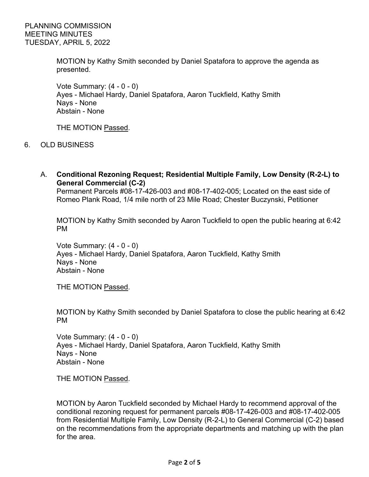MOTION by Kathy Smith seconded by Daniel Spatafora to approve the agenda as presented.

Vote Summary: (4 - 0 - 0) Ayes - Michael Hardy, Daniel Spatafora, Aaron Tuckfield, Kathy Smith Nays - None Abstain - None

THE MOTION Passed.

- 6. OLD BUSINESS
	- A. **Conditional Rezoning Request; Residential Multiple Family, Low Density (R-2-L) to General Commercial (C-2)**

Permanent Parcels #08-17-426-003 and #08-17-402-005; Located on the east side of Romeo Plank Road, 1/4 mile north of 23 Mile Road; Chester Buczynski, Petitioner

MOTION by Kathy Smith seconded by Aaron Tuckfield to open the public hearing at 6:42 PM

Vote Summary: (4 - 0 - 0) Ayes - Michael Hardy, Daniel Spatafora, Aaron Tuckfield, Kathy Smith Nays - None Abstain - None

THE MOTION Passed.

MOTION by Kathy Smith seconded by Daniel Spatafora to close the public hearing at 6:42 PM

Vote Summary: (4 - 0 - 0) Ayes - Michael Hardy, Daniel Spatafora, Aaron Tuckfield, Kathy Smith Nays - None Abstain - None

THE MOTION Passed.

MOTION by Aaron Tuckfield seconded by Michael Hardy to recommend approval of the conditional rezoning request for permanent parcels #08-17-426-003 and #08-17-402-005 from Residential Multiple Family, Low Density (R-2-L) to General Commercial (C-2) based on the recommendations from the appropriate departments and matching up with the plan for the area.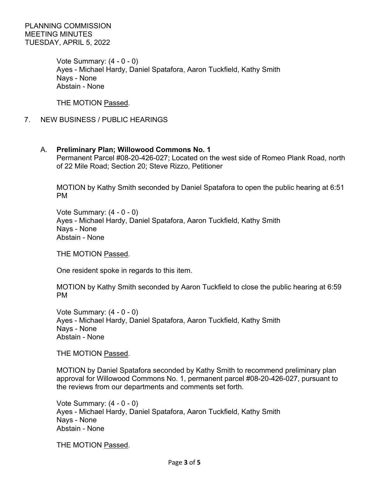PLANNING COMMISSION MEETING MINUTES TUESDAY, APRIL 5, 2022

> Vote Summary: (4 - 0 - 0) Ayes - Michael Hardy, Daniel Spatafora, Aaron Tuckfield, Kathy Smith Nays - None Abstain - None

THE MOTION Passed.

7. NEW BUSINESS / PUBLIC HEARINGS

## A. **Preliminary Plan; Willowood Commons No. 1**

Permanent Parcel #08-20-426-027; Located on the west side of Romeo Plank Road, north of 22 Mile Road; Section 20; Steve Rizzo, Petitioner

MOTION by Kathy Smith seconded by Daniel Spatafora to open the public hearing at 6:51 PM

Vote Summary: (4 - 0 - 0) Ayes - Michael Hardy, Daniel Spatafora, Aaron Tuckfield, Kathy Smith Nays - None Abstain - None

THE MOTION Passed.

One resident spoke in regards to this item.

MOTION by Kathy Smith seconded by Aaron Tuckfield to close the public hearing at 6:59 PM

Vote Summary: (4 - 0 - 0) Ayes - Michael Hardy, Daniel Spatafora, Aaron Tuckfield, Kathy Smith Nays - None Abstain - None

THE MOTION Passed.

MOTION by Daniel Spatafora seconded by Kathy Smith to recommend preliminary plan approval for Willowood Commons No. 1, permanent parcel #08-20-426-027, pursuant to the reviews from our departments and comments set forth.

Vote Summary: (4 - 0 - 0) Ayes - Michael Hardy, Daniel Spatafora, Aaron Tuckfield, Kathy Smith Nays - None Abstain - None

THE MOTION Passed.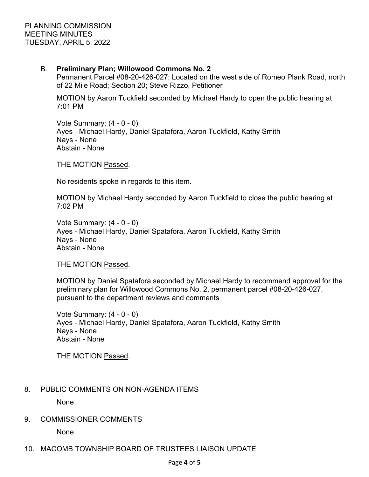## B. **Preliminary Plan; Willowood Commons No. 2**

Permanent Parcel #08-20-426-027; Located on the west side of Romeo Plank Road, north of 22 Mile Road; Section 20; Steve Rizzo, Petitioner

MOTION by Aaron Tuckfield seconded by Michael Hardy to open the public hearing at 7:01 PM

Vote Summary: (4 - 0 - 0) Ayes - Michael Hardy, Daniel Spatafora, Aaron Tuckfield, Kathy Smith Nays - None Abstain - None

THE MOTION Passed.

No residents spoke in regards to this item.

MOTION by Michael Hardy seconded by Aaron Tuckfield to close the public hearing at 7:02 PM

Vote Summary: (4 - 0 - 0) Ayes - Michael Hardy, Daniel Spatafora, Aaron Tuckfield, Kathy Smith Nays - None Abstain - None

THE MOTION Passed.

MOTION by Daniel Spatafora seconded by Michael Hardy to recommend approval for the preliminary plan for Willowood Commons No. 2, permanent parcel #08-20-426-027, pursuant to the department reviews and comments

Vote Summary: (4 - 0 - 0) Ayes - Michael Hardy, Daniel Spatafora, Aaron Tuckfield, Kathy Smith Nays - None Abstain - None

THE MOTION Passed.

# 8. PUBLIC COMMENTS ON NON-AGENDA ITEMS

None

9. COMMISSIONER COMMENTS

None

10. MACOMB TOWNSHIP BOARD OF TRUSTEES LIAISON UPDATE